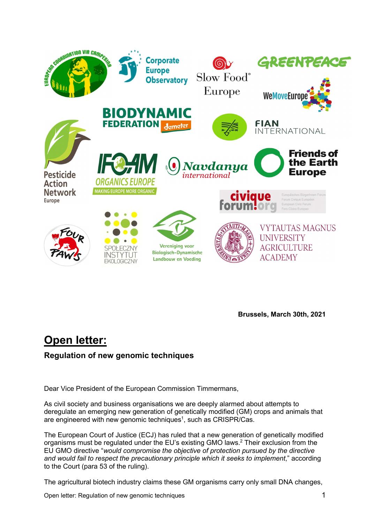

Brussels, March 30th, 2021

# Open letter:

# Regulation of new genomic techniques

Dear Vice President of the European Commission Timmermans,

As civil society and business organisations we are deeply alarmed about attempts to deregulate an emerging new generation of genetically modified (GM) crops and animals that are engineered with new genomic techniques<sup>1</sup>, such as CRISPR/Cas.

The European Court of Justice (ECJ) has ruled that a new generation of genetically modified organisms must be regulated under the EU's existing GMO laws.<sup>2</sup> Their exclusion from the EU GMO directive "would compromise the objective of protection pursued by the directive and would fail to respect the precautionary principle which it seeks to implement," according to the Court (para 53 of the ruling).

The agricultural biotech industry claims these GM organisms carry only small DNA changes,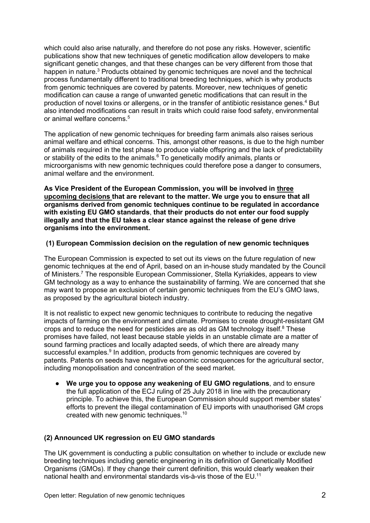which could also arise naturally, and therefore do not pose any risks. However, scientific publications show that new techniques of genetic modification allow developers to make significant genetic changes, and that these changes can be very different from those that happen in nature.<sup>3</sup> Products obtained by genomic techniques are novel and the technical process fundamentally different to traditional breeding techniques, which is why products from genomic techniques are covered by patents. Moreover, new techniques of genetic modification can cause a range of unwanted genetic modifications that can result in the production of novel toxins or allergens, or in the transfer of antibiotic resistance genes.<sup>4</sup> But also intended modifications can result in traits which could raise food safety, environmental or animal welfare concerns.<sup>5</sup>

The application of new genomic techniques for breeding farm animals also raises serious animal welfare and ethical concerns. This, amongst other reasons, is due to the high number of animals required in the test phase to produce viable offspring and the lack of predictability or stability of the edits to the animals.<sup>6</sup> To genetically modify animals, plants or microorganisms with new genomic techniques could therefore pose a danger to consumers, animal welfare and the environment.

As Vice President of the European Commission, you will be involved in three upcoming decisions that are relevant to the matter. We urge you to ensure that all organisms derived from genomic techniques continue to be regulated in accordance with existing EU GMO standards, that their products do not enter our food supply illegally and that the EU takes a clear stance against the release of gene drive organisms into the environment.

# (1) European Commission decision on the regulation of new genomic techniques

The European Commission is expected to set out its views on the future regulation of new genomic techniques at the end of April, based on an in-house study mandated by the Council of Ministers.<sup>7</sup> The responsible European Commissioner, Stella Kyriakides, appears to view GM technology as a way to enhance the sustainability of farming. We are concerned that she may want to propose an exclusion of certain genomic techniques from the EU's GMO laws, as proposed by the agricultural biotech industry.

It is not realistic to expect new genomic techniques to contribute to reducing the negative impacts of farming on the environment and climate. Promises to create drought-resistant GM crops and to reduce the need for pesticides are as old as GM technology itself. $8$  These promises have failed, not least because stable yields in an unstable climate are a matter of sound farming practices and locally adapted seeds, of which there are already many successful examples.<sup>9</sup> In addition, products from genomic techniques are covered by patents. Patents on seeds have negative economic consequences for the agricultural sector, including monopolisation and concentration of the seed market.

We urge you to oppose any weakening of EU GMO regulations, and to ensure the full application of the ECJ ruling of 25 July 2018 in line with the precautionary principle. To achieve this, the European Commission should support member states' efforts to prevent the illegal contamination of EU imports with unauthorised GM crops created with new genomic techniques.<sup>10</sup>

# (2) Announced UK regression on EU GMO standards

The UK government is conducting a public consultation on whether to include or exclude new breeding techniques including genetic engineering in its definition of Genetically Modified Organisms (GMOs). If they change their current definition, this would clearly weaken their national health and environmental standards vis-à-vis those of the EU.11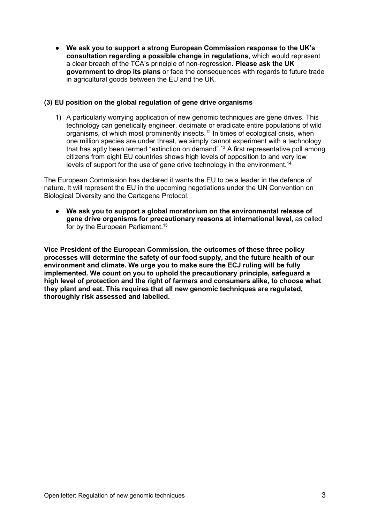● We ask you to support a strong European Commission response to the UK's consultation regarding a possible change in regulations, which would represent a clear breach of the TCA's principle of non-regression. Please ask the UK government to drop its plans or face the consequences with regards to future trade in agricultural goods between the EU and the UK.

# (3) EU position on the global regulation of gene drive organisms

1) A particularly worrying application of new genomic techniques are gene drives. This technology can genetically engineer, decimate or eradicate entire populations of wild organisms, of which most prominently insects.<sup>12</sup> In times of ecological crisis, when one million species are under threat, we simply cannot experiment with a technology that has aptly been termed "extinction on demand".<sup>13</sup> A first representative poll among citizens from eight EU countries shows high levels of opposition to and very low levels of support for the use of gene drive technology in the environment.<sup>14</sup>

The European Commission has declared it wants the EU to be a leader in the defence of nature. It will represent the EU in the upcoming negotiations under the UN Convention on Biological Diversity and the Cartagena Protocol.

● We ask you to support a global moratorium on the environmental release of gene drive organisms for precautionary reasons at international level, as called for by the European Parliament.<sup>15</sup>

Vice President of the European Commission, the outcomes of these three policy processes will determine the safety of our food supply, and the future health of our environment and climate. We urge you to make sure the ECJ ruling will be fully implemented. We count on you to uphold the precautionary principle, safeguard a high level of protection and the right of farmers and consumers alike, to choose what they plant and eat. This requires that all new genomic techniques are regulated, thoroughly risk assessed and labelled.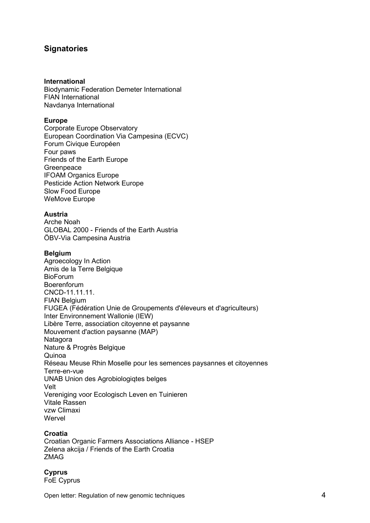# **Signatories**

#### International

Biodynamic Federation Demeter International FIAN International Navdanya International

#### Europe

Corporate Europe Observatory European Coordination Via Campesina (ECVC) Forum Civique Européen Four paws Friends of the Earth Europe Greenpeace IFOAM Organics Europe Pesticide Action Network Europe Slow Food Europe WeMove Europe

# Austria

Arche Noah GLOBAL 2000 - Friends of the Earth Austria ÖBV-Via Campesina Austria

#### Belgium

Agroecology In Action Amis de la Terre Belgique BioForum Boerenforum CNCD-11.11.11. FIAN Belgium FUGEA (Fédération Unie de Groupements d'éleveurs et d'agriculteurs) Inter Environnement Wallonie (IEW) Libère Terre, association citoyenne et paysanne Mouvement d'action paysanne (MAP) **Natagora** Nature & Progrès Belgique Quinoa Réseau Meuse Rhin Moselle pour les semences paysannes et citoyennes Terre-en-vue UNAB Union des Agrobiologiqtes belges Velt Vereniging voor Ecologisch Leven en Tuinieren Vitale Rassen vzw Climaxi **Wervel** 

#### Croatia

Croatian Organic Farmers Associations Alliance - HSEP Zelena akcija / Friends of the Earth Croatia ZMAG

**Cyprus** FoE Cyprus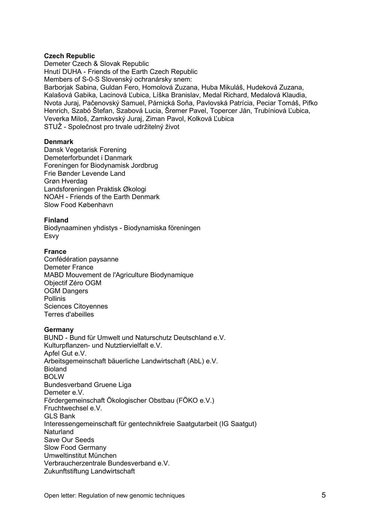# Czech Republic

Demeter Czech & Slovak Republic Hnutí DUHA - Friends of the Earth Czech Republic Members of S-0-S Slovenský ochranársky snem: Barborjak Sabina, Guldan Fero, Homolová Zuzana, Huba Mikuláš, Hudeková Zuzana, Kalašová Gabika, Lacinová Ľubica, Líška Branislav, Medal Richard, Medalová Klaudia, Nvota Juraj, Pačenovský Samuel, Párnická Soňa, Pavlovská Patrícia, Peciar Tomáš, Pifko Henrich, Szabó Štefan, Szabová Lucia, Šremer Pavel, Topercer Ján, Trubíniová Ľubica, Veverka Miloš, Zamkovský Juraj, Ziman Pavol, Kolková Ľubica STUŽ - Společnost pro trvale udržitelný život

#### Denmark

Dansk Vegetarisk Forening Demeterforbundet i Danmark Foreningen for Biodynamisk Jordbrug Frie Bønder Levende Land Grøn Hverdag Landsforeningen Praktisk Økologi NOAH - Friends of the Earth Denmark Slow Food København

#### Finland

Biodynaaminen yhdistys - Biodynamiska föreningen Esvy

#### **France**

Confédération paysanne Demeter France MABD Mouvement de l'Agriculture Biodynamique Objectif Zéro OGM OGM Dangers Pollinis Sciences Citoyennes Terres d'abeilles

#### **Germany**

BUND - Bund für Umwelt und Naturschutz Deutschland e.V. Kulturpflanzen- und Nutztiervielfalt e.V. Apfel Gut e.V. Arbeitsgemeinschaft bäuerliche Landwirtschaft (AbL) e.V. Bioland BOLW Bundesverband Gruene Liga Demeter e.V. Fördergemeinschaft Ökologischer Obstbau (FÖKO e.V.) Fruchtwechsel e.V. GLS Bank Interessengemeinschaft für gentechnikfreie Saatgutarbeit (IG Saatgut) **Naturland** Save Our Seeds Slow Food Germany Umweltinstitut München Verbraucherzentrale Bundesverband e.V. Zukunftstiftung Landwirtschaft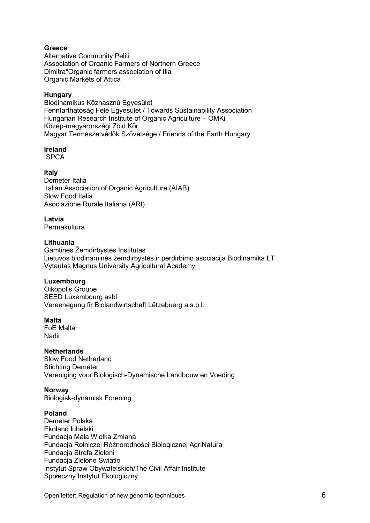# **Greece**

Alternative Community Peliti Association of Organic Farmers of Northern Greece Dimitra"Organic farmers association of Ilia Organic Markets of Attica

# Hungary

Biodinamikus Közhasznú Egyesület Fenntarthatóság Felé Egyesület / Towards Sustainability Association Hungarian Research Institute of Organic Agriculture – OMKi Közép-magyarországi Zöld Kör Magyar Természetvédők Szövetsége / Friends of the Earth Hungary

#### Ireland

ISPCA

#### Italy

Demeter Italia Italian Association of Organic Agriculture (AIAB) Slow Food Italia Asociazione Rurale Italiana (ARI)

#### Latvia

Permakultura

#### Lithuania

Gamtinės Žemdirbystės Institutas Lietuvos biodinaminės žemdirbystės ir perdirbimo asociacija Biodinamika LT Vytautas Magnus University Agricultural Academy

#### Luxembourg

Oikopolis Groupe SEED Luxembourg asbl Vereenegung fir Biolandwirtschaft Lëtzebuerg a.s.b.l.

#### Malta

FoE Malta Nadir

# **Netherlands**

Slow Food Netherland Stichting Demeter Vereniging voor Biologisch-Dynamische Landbouw en Voeding

#### Norway

Biologisk-dynamisk Forening

# Poland

Demeter Polska Ekoland lubelski Fundacja Mała Wielka Zmiana Fundacja Rolniczej Różnorodności Biologicznej AgriNatura Fundacja Strefa Zieleni Fundacja Zielone Swiatło Instytut Spraw Obywatelskich/The Civil Affair Institute Społeczny Instytut Ekologiczny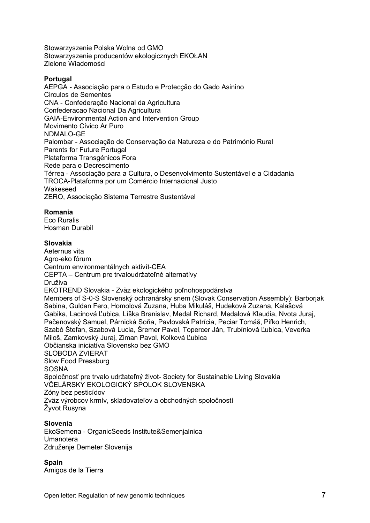Stowarzyszenie Polska Wolna od GMO Stowarzyszenie producentów ekologicznych EKOŁAN Zielone Wiadomości

## **Portugal**

AEPGA - Associação para o Estudo e Protecção do Gado Asinino Circulos de Sementes CNA - Confederação Nacional da Agricultura Confederacao Nacional Da Agricultura GAIA-Environmental Action and Intervention Group Movimento Cívico Ar Puro NDMALO-GE Palombar - Associação de Conservação da Natureza e do Património Rural Parents for Future Portugal Plataforma Transgénicos Fora Rede para o Decrescimento Térrea - Associação para a Cultura, o Desenvolvimento Sustentável e a Cidadania TROCA-Plataforma por um Comércio Internacional Justo Wakeseed ZERO, Associação Sistema Terrestre Sustentável

#### Romania

Eco Ruralis Hosman Durabil

#### Slovakia

Aeternus vita Agro-eko fórum Centrum environmentálnych aktivít-CEA CEPTA – Centrum pre trvaloudržateľné alternatívy Druživa EKOTREND Slovakia - Zväz ekologického poľnohospodárstva Members of S-0-S Slovenský ochranársky snem (Slovak Conservation Assembly): Barborjak Sabina, Guldan Fero, Homolová Zuzana, Huba Mikuláš, Hudeková Zuzana, Kalašová Gabika, Lacinová Ľubica, Líška Branislav, Medal Richard, Medalová Klaudia, Nvota Juraj, Pačenovský Samuel, Párnická Soňa, Pavlovská Patrícia, Peciar Tomáš, Pifko Henrich, Szabó Štefan, Szabová Lucia, Šremer Pavel, Topercer Ján, Trubíniová Ľubica, Veverka Miloš, Zamkovský Juraj, Ziman Pavol, Kolková Ľubica Občianska iniciatíva Slovensko bez GMO SLOBODA ZVIERAT Slow Food Pressburg **SOSNA** Spoločnosť pre trvalo udržateľný život- Society for Sustainable Living Slovakia VČELÁRSKY EKOLOGICKÝ SPOLOK SLOVENSKA Zóny bez pesticídov Zväz výrobcov krmív, skladovateľov a obchodných spoločností Žyvot Rusyna

# Slovenia

EkoSemena - OrganicSeeds Institute&Semenjalnica Umanotera Združenje Demeter Slovenija

# **Spain**

Amigos de la Tierra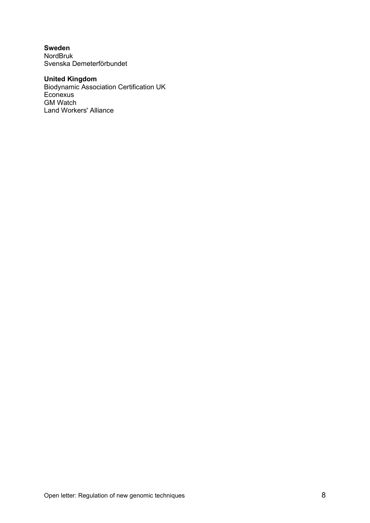Sweden NordBruk Svenska Demeterförbundet

# United Kingdom

Biodynamic Association Certification UK **Econexus** GM Watch Land Workers' Alliance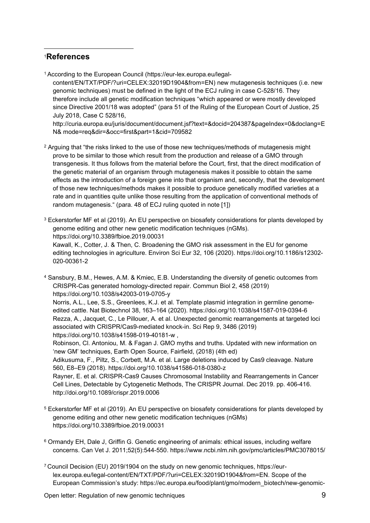# <sup>1</sup>References

1 According to the European Council (https://eur-lex.europa.eu/legal-

content/EN/TXT/PDF/?uri=CELEX:32019D1904&from=EN) new mutagenesis techniques (i.e. new genomic techniques) must be defined in the light of the ECJ ruling in case C-528/16. They therefore include all genetic modification techniques "which appeared or were mostly developed since Directive 2001/18 was adopted" (para 51 of the Ruling of the European Court of Justice, 25 July 2018, Case C 528/16,

http://curia.europa.eu/juris/document/document.jsf?text=&docid=204387&pageIndex=0&doclang=E N& mode=req&dir=&occ=first&part=1&cid=709582

 $2$  Arguing that "the risks linked to the use of those new techniques/methods of mutagenesis might prove to be similar to those which result from the production and release of a GMO through transgenesis. It thus follows from the material before the Court, first, that the direct modification of the genetic material of an organism through mutagenesis makes it possible to obtain the same effects as the introduction of a foreign gene into that organism and, secondly, that the development of those new techniques/methods makes it possible to produce genetically modified varieties at a rate and in quantities quite unlike those resulting from the application of conventional methods of random mutagenesis." (para. 48 of ECJ ruling quoted in note [1])

 $3$  Eckerstorfer MF et al (2019). An EU perspective on biosafety considerations for plants developed by genome editing and other new genetic modification techniques (nGMs). https://doi.org/10.3389/fbioe.2019.00031 Kawall, K., Cotter, J. & Then, C. Broadening the GMO risk assessment in the EU for genome editing technologies in agriculture. Environ Sci Eur 32, 106 (2020). https://doi.org/10.1186/s12302- 020-00361-2

4 Sansbury, B.M., Hewes, A.M. & Kmiec, E.B. Understanding the diversity of genetic outcomes from CRISPR-Cas generated homology-directed repair. Commun Biol 2, 458 (2019) https://doi.org/10.1038/s42003-019-0705-y

 Norris, A.L., Lee, S.S., Greenlees, K.J. et al. Template plasmid integration in germline genomeedited cattle. Nat Biotechnol 38, 163–164 (2020). https://doi.org/10.1038/s41587-019-0394-6 Rezza, A., Jacquet, C., Le Pillouer, A. et al. Unexpected genomic rearrangements at targeted loci associated with CRISPR/Cas9-mediated knock-in. Sci Rep 9, 3486 (2019) https://doi.org/10.1038/s41598-019-40181-w ,

 Robinson, Cl. Antoniou, M. & Fagan J. GMO myths and truths. Updated with new information on 'new GM' techniques, Earth Open Source, Fairfield, (2018) (4th ed)

 Adikusuma, F., Piltz, S., Corbett, M.A. et al. Large deletions induced by Cas9 cleavage. Nature 560, E8–E9 (2018). https://doi.org/10.1038/s41586-018-0380-z

 Rayner, E. et al. CRISPR-Cas9 Causes Chromosomal Instability and Rearrangements in Cancer Cell Lines, Detectable by Cytogenetic Methods, The CRISPR Journal. Dec 2019. pp. 406-416. http://doi.org/10.1089/crispr.2019.0006

5 Eckerstorfer MF et al (2019). An EU perspective on biosafety considerations for plants developed by genome editing and other new genetic modification techniques (nGMs) https://doi.org/10.3389/fbioe.2019.00031

 $^6$  Ormandy EH, Dale J, Griffin G. Genetic engineering of animals: ethical issues, including welfare concerns. Can Vet J. 2011;52(5):544-550. https://www.ncbi.nlm.nih.gov/pmc/articles/PMC3078015/

7 Council Decision (EU) 2019/1904 on the study on new genomic techniques, https://eurlex.europa.eu/legal-content/EN/TXT/PDF/?uri=CELEX:32019D1904&from=EN. Scope of the European Commission's study: https://ec.europa.eu/food/plant/gmo/modern\_biotech/new-genomic